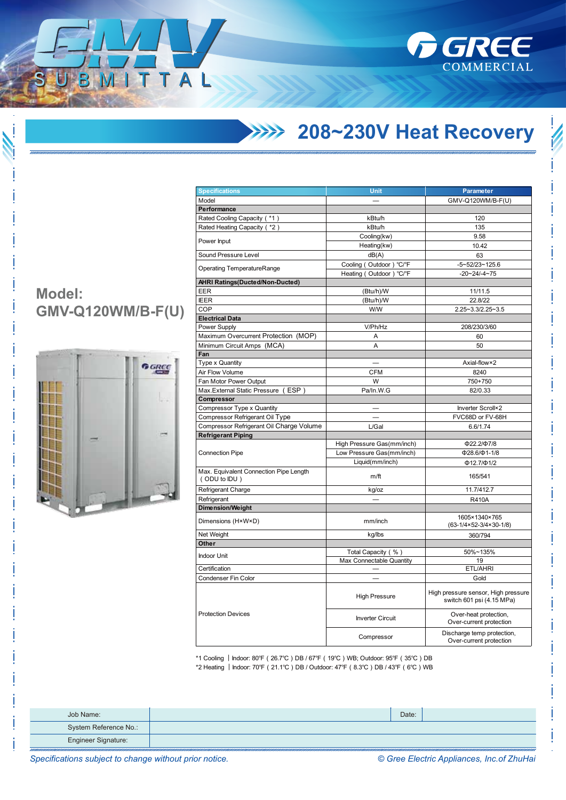

## **208~230V Heat Recovery**

| <b>Specifications</b>                                  | Unit                       | Parameter                                                        |  |
|--------------------------------------------------------|----------------------------|------------------------------------------------------------------|--|
| Model                                                  |                            | GMV-Q120WM/B-F(U)                                                |  |
| Performance                                            |                            |                                                                  |  |
| Rated Cooling Capacity (*1)                            | kBtu/h                     | 120                                                              |  |
| Rated Heating Capacity ( *2)                           | kBtu/h                     | 135                                                              |  |
|                                                        | Cooling(kw)                | 9.58                                                             |  |
| Power Input                                            | Heating(kw)                | 10.42                                                            |  |
| Sound Pressure Level                                   | dB(A)                      | 63                                                               |  |
|                                                        | Cooling (Outdoor) °C/°F    | $-5 - 52/23 - 125.6$                                             |  |
| <b>Operating TemperatureRange</b>                      | Heating (Outdoor) °C/°F    | $-20 - 24 - 4 - 75$                                              |  |
| <b>AHRI Ratings(Ducted/Non-Ducted)</b>                 |                            |                                                                  |  |
| EER                                                    | (Btu/h)/W                  | 11/11.5                                                          |  |
| <b>IEER</b>                                            | (Btu/h)/W                  | 22.8/22                                                          |  |
| COP                                                    | W/W                        | 2.25~3.3/2.25~3.5                                                |  |
| <b>Electrical Data</b>                                 |                            |                                                                  |  |
| Power Supply                                           | V/Ph/Hz                    | 208/230/3/60                                                     |  |
| Maximum Overcurrent Protection (MOP)                   | A                          | 60                                                               |  |
| Minimum Circuit Amps (MCA)                             | A                          | 50                                                               |  |
| Fan                                                    |                            |                                                                  |  |
| Type x Quantity                                        |                            | Axial-flow×2                                                     |  |
| Air Flow Volume                                        | <b>CFM</b>                 | 8240                                                             |  |
| Fan Motor Power Output                                 | W                          | 750+750                                                          |  |
| Max. External Static Pressure (ESP)                    | Pa/In.W.G                  | 82/0.33                                                          |  |
| Compressor                                             |                            |                                                                  |  |
| Compressor Type x Quantity                             |                            | Inverter Scroll×2                                                |  |
| Compressor Refrigerant Oil Type                        |                            | FVC68D or FV-68H                                                 |  |
| Compressor Refrigerant Oil Charge Volume               | L/Gal                      | 6.6/1.74                                                         |  |
| <b>Refrigerant Piping</b>                              |                            |                                                                  |  |
|                                                        | High Pressure Gas(mm/inch) | Ф22.2/Ф7/8                                                       |  |
| <b>Connection Pipe</b>                                 | Low Pressure Gas(mm/inch)  | $\Phi$ 28.6/ $\Phi$ 1-1/8                                        |  |
|                                                        | Liquid(mm/inch)            | $\Phi$ 12.7/ $\Phi$ 1/2                                          |  |
| Max. Equivalent Connection Pipe Length<br>(ODU to IDU) | m/ft                       | 165/541                                                          |  |
| Refrigerant Charge                                     | kg/oz                      | 11.7/412.7                                                       |  |
| Refrigerant                                            |                            | <b>R410A</b>                                                     |  |
| <b>Dimension/Weight</b>                                |                            |                                                                  |  |
| Dimensions (H×W×D)                                     | mm/inch                    | 1605×1340×765<br>$(63-1/4\times52-3/4\times30-1/8)$              |  |
| Net Weight                                             | kg/lbs                     | 360/794                                                          |  |
| Other                                                  |                            |                                                                  |  |
| <b>Indoor Unit</b>                                     | Total Capacity (%)         | 50%~135%                                                         |  |
|                                                        | Max Connectable Quantity   | 19                                                               |  |
| Certification                                          |                            | ETL/AHRI                                                         |  |
| Condenser Fin Color                                    |                            | Gold                                                             |  |
|                                                        | <b>High Pressure</b>       | High pressure sensor, High pressure<br>switch 601 psi (4.15 MPa) |  |
| <b>Protection Devices</b>                              | <b>Inverter Circuit</b>    | Over-heat protection,<br>Over-current protection                 |  |
|                                                        | Compressor                 | Discharge temp protection,<br>Over-current protection            |  |

\*1 Cooling ︱Indoor: 80℉(26.7℃)DB / 67℉(19℃)WB; Outdoor: 95℉(35℃)DB \*2 Heating ︱Indoor: 70℉(21.1℃)DB / Outdoor: 47℉(8.3℃)DB / 43℉(6℃)WB

| Job Name:             | Date: |  |
|-----------------------|-------|--|
| System Reference No.: |       |  |
| Engineer Signature:   |       |  |

## **Model: GMV-Q120WM/B-F(U)**

ITTAL



*Specifications subject to change without prior notice. © Gree Electric Appliances, Inc.of ZhuHai*